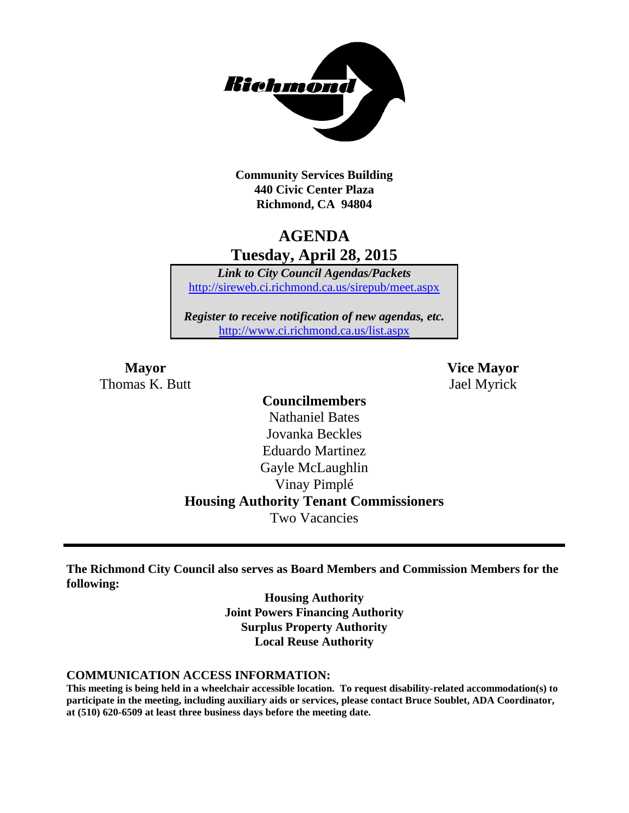

**Community Services Building 440 Civic Center Plaza Richmond, CA 94804**

### **AGENDA Tuesday, April 28, 2015**

*Link to City Council Agendas/Packets* <http://sireweb.ci.richmond.ca.us/sirepub/meet.aspx>

*Register to receive notification of new agendas, etc.* <http://www.ci.richmond.ca.us/list.aspx>

Thomas K. Butt Jael Myrick

**Mayor Vice Mayor**

### **Councilmembers**

Nathaniel Bates Jovanka Beckles Eduardo Martinez Gayle McLaughlin Vinay Pimplé **Housing Authority Tenant Commissioners** Two Vacancies

**The Richmond City Council also serves as Board Members and Commission Members for the following:**

> **Housing Authority Joint Powers Financing Authority Surplus Property Authority Local Reuse Authority**

#### **COMMUNICATION ACCESS INFORMATION:**

**This meeting is being held in a wheelchair accessible location. To request disability-related accommodation(s) to participate in the meeting, including auxiliary aids or services, please contact Bruce Soublet, ADA Coordinator, at (510) 620-6509 at least three business days before the meeting date.**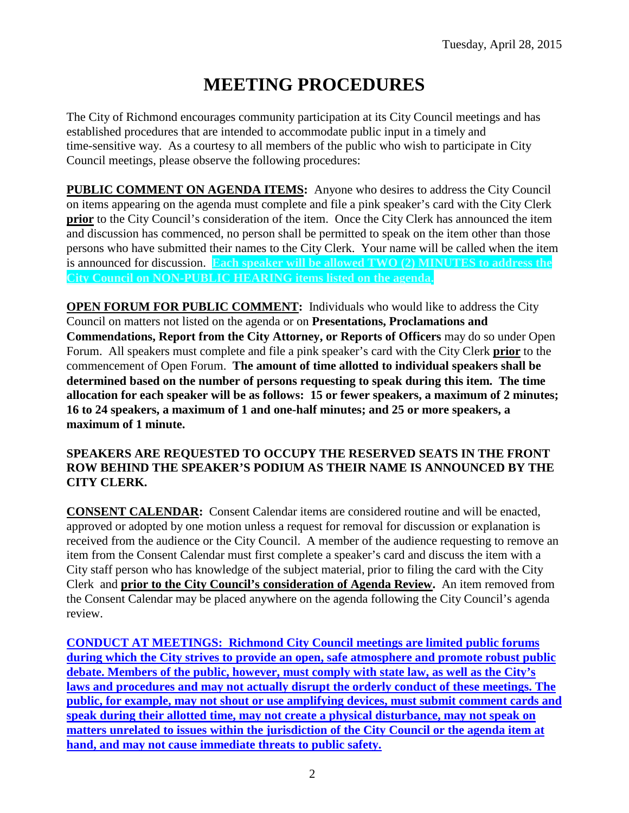# **MEETING PROCEDURES**

The City of Richmond encourages community participation at its City Council meetings and has established procedures that are intended to accommodate public input in a timely and time-sensitive way. As a courtesy to all members of the public who wish to participate in City Council meetings, please observe the following procedures:

**PUBLIC COMMENT ON AGENDA ITEMS:** Anyone who desires to address the City Council on items appearing on the agenda must complete and file a pink speaker's card with the City Clerk **prior** to the City Council's consideration of the item. Once the City Clerk has announced the item and discussion has commenced, no person shall be permitted to speak on the item other than those persons who have submitted their names to the City Clerk. Your name will be called when the item is announced for discussion. **Each speaker will be allowed TWO (2) MINUTES to address the City Council on NON-PUBLIC HEARING items listed on the agenda.**

**OPEN FORUM FOR PUBLIC COMMENT:** Individuals who would like to address the City Council on matters not listed on the agenda or on **Presentations, Proclamations and Commendations, Report from the City Attorney, or Reports of Officers** may do so under Open Forum. All speakers must complete and file a pink speaker's card with the City Clerk **prior** to the commencement of Open Forum. **The amount of time allotted to individual speakers shall be determined based on the number of persons requesting to speak during this item. The time allocation for each speaker will be as follows: 15 or fewer speakers, a maximum of 2 minutes; 16 to 24 speakers, a maximum of 1 and one-half minutes; and 25 or more speakers, a maximum of 1 minute.**

#### **SPEAKERS ARE REQUESTED TO OCCUPY THE RESERVED SEATS IN THE FRONT ROW BEHIND THE SPEAKER'S PODIUM AS THEIR NAME IS ANNOUNCED BY THE CITY CLERK.**

**CONSENT CALENDAR:** Consent Calendar items are considered routine and will be enacted, approved or adopted by one motion unless a request for removal for discussion or explanation is received from the audience or the City Council. A member of the audience requesting to remove an item from the Consent Calendar must first complete a speaker's card and discuss the item with a City staff person who has knowledge of the subject material, prior to filing the card with the City Clerk and **prior to the City Council's consideration of Agenda Review.** An item removed from the Consent Calendar may be placed anywhere on the agenda following the City Council's agenda review.

**CONDUCT AT MEETINGS: Richmond City Council meetings are limited public forums during which the City strives to provide an open, safe atmosphere and promote robust public debate. Members of the public, however, must comply with state law, as well as the City's laws and procedures and may not actually disrupt the orderly conduct of these meetings. The public, for example, may not shout or use amplifying devices, must submit comment cards and speak during their allotted time, may not create a physical disturbance, may not speak on matters unrelated to issues within the jurisdiction of the City Council or the agenda item at hand, and may not cause immediate threats to public safety.**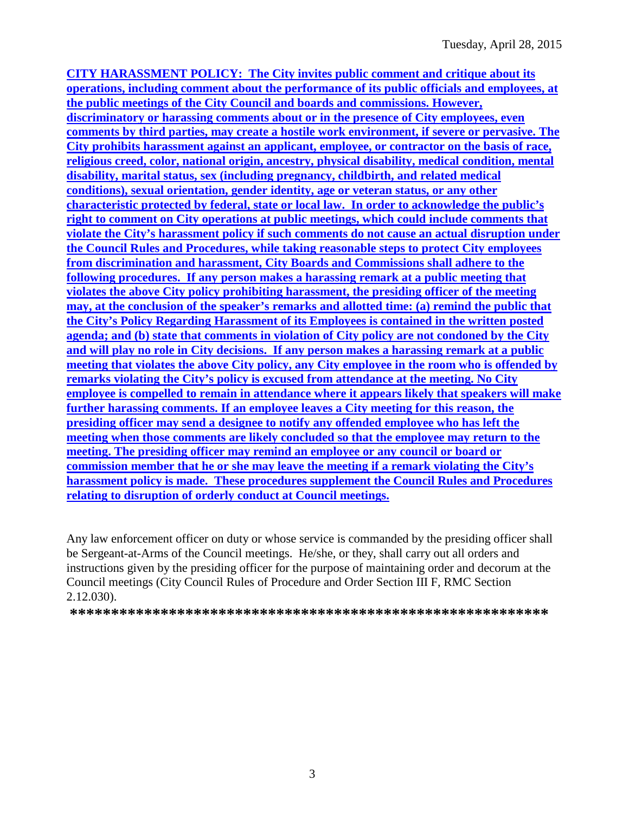**CITY HARASSMENT POLICY: The City invites public comment and critique about its operations, including comment about the performance of its public officials and employees, at the public meetings of the City Council and boards and commissions. However, discriminatory or harassing comments about or in the presence of City employees, even comments by third parties, may create a hostile work environment, if severe or pervasive. The City prohibits harassment against an applicant, employee, or contractor on the basis of race, religious creed, color, national origin, ancestry, physical disability, medical condition, mental disability, marital status, sex (including pregnancy, childbirth, and related medical conditions), sexual orientation, gender identity, age or veteran status, or any other characteristic protected by federal, state or local law. In order to acknowledge the public's right to comment on City operations at public meetings, which could include comments that violate the City's harassment policy if such comments do not cause an actual disruption under the Council Rules and Procedures, while taking reasonable steps to protect City employees from discrimination and harassment, City Boards and Commissions shall adhere to the following procedures. If any person makes a harassing remark at a public meeting that violates the above City policy prohibiting harassment, the presiding officer of the meeting may, at the conclusion of the speaker's remarks and allotted time: (a) remind the public that the City's Policy Regarding Harassment of its Employees is contained in the written posted agenda; and (b) state that comments in violation of City policy are not condoned by the City and will play no role in City decisions. If any person makes a harassing remark at a public meeting that violates the above City policy, any City employee in the room who is offended by remarks violating the City's policy is excused from attendance at the meeting. No City employee is compelled to remain in attendance where it appears likely that speakers will make further harassing comments. If an employee leaves a City meeting for this reason, the presiding officer may send a designee to notify any offended employee who has left the meeting when those comments are likely concluded so that the employee may return to the meeting. The presiding officer may remind an employee or any council or board or commission member that he or she may leave the meeting if a remark violating the City's harassment policy is made. These procedures supplement the Council Rules and Procedures relating to disruption of orderly conduct at Council meetings.**

Any law enforcement officer on duty or whose service is commanded by the presiding officer shall be Sergeant-at-Arms of the Council meetings. He/she, or they, shall carry out all orders and instructions given by the presiding officer for the purpose of maintaining order and decorum at the Council meetings (City Council Rules of Procedure and Order Section III F, RMC Section 2.12.030).

**\*\*\*\*\*\*\*\*\*\*\*\*\*\*\*\*\*\*\*\*\*\*\*\*\*\*\*\*\*\*\*\*\*\*\*\*\*\*\*\*\*\*\*\*\*\*\*\*\*\*\*\*\*\*\*\*\*\***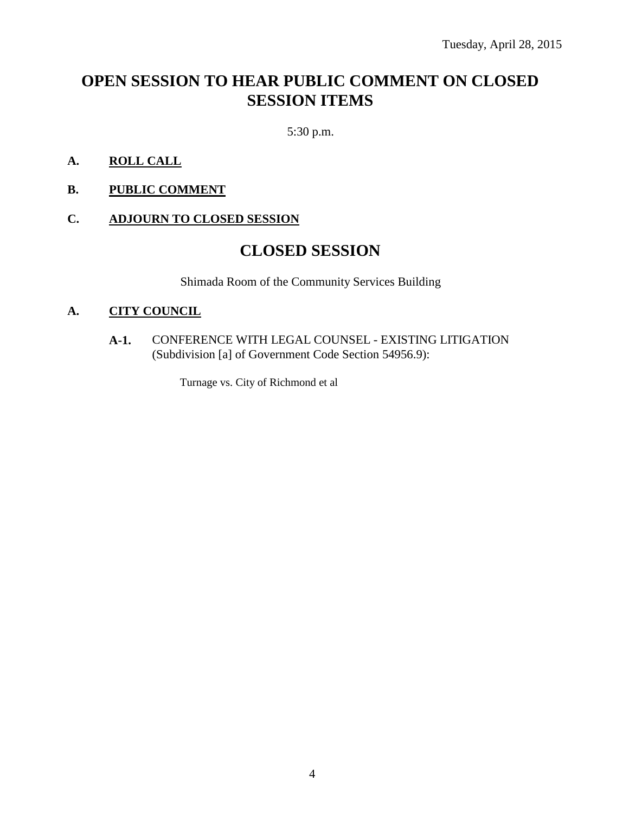## **OPEN SESSION TO HEAR PUBLIC COMMENT ON CLOSED SESSION ITEMS**

5:30 p.m.

- **A. ROLL CALL**
- **B. PUBLIC COMMENT**

#### **C. ADJOURN TO CLOSED SESSION**

### **CLOSED SESSION**

Shimada Room of the Community Services Building

#### **A. CITY COUNCIL**

**A-1.** CONFERENCE WITH LEGAL COUNSEL - EXISTING LITIGATION (Subdivision [a] of Government Code Section 54956.9):

Turnage vs. City of Richmond et al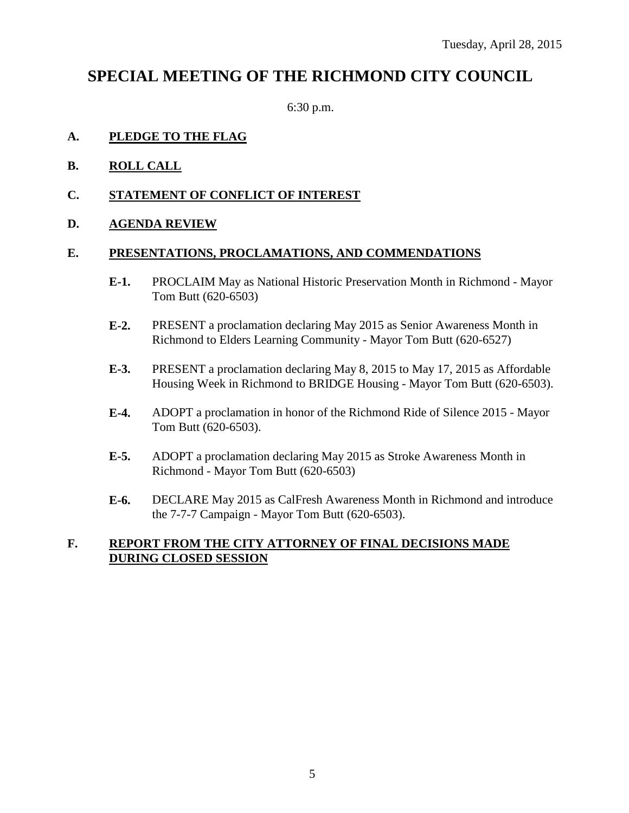### **SPECIAL MEETING OF THE RICHMOND CITY COUNCIL**

6:30 p.m.

#### **A. PLEDGE TO THE FLAG**

- **B. ROLL CALL**
- **C. STATEMENT OF CONFLICT OF INTEREST**
- **D. AGENDA REVIEW**

#### **E. PRESENTATIONS, PROCLAMATIONS, AND COMMENDATIONS**

- **E-1.** PROCLAIM May as National Historic Preservation Month in Richmond Mayor Tom Butt (620-6503)
- **E-2.** PRESENT a proclamation declaring May 2015 as Senior Awareness Month in Richmond to Elders Learning Community - Mayor Tom Butt (620-6527)
- **E-3.** PRESENT a proclamation declaring May 8, 2015 to May 17, 2015 as Affordable Housing Week in Richmond to BRIDGE Housing - Mayor Tom Butt (620-6503).
- **E-4.** ADOPT a proclamation in honor of the Richmond Ride of Silence 2015 Mayor Tom Butt (620-6503).
- **E-5.** ADOPT a proclamation declaring May 2015 as Stroke Awareness Month in Richmond - Mayor Tom Butt (620-6503)
- **E-6.** DECLARE May 2015 as CalFresh Awareness Month in Richmond and introduce the 7-7-7 Campaign - Mayor Tom Butt (620-6503).

#### **F. REPORT FROM THE CITY ATTORNEY OF FINAL DECISIONS MADE DURING CLOSED SESSION**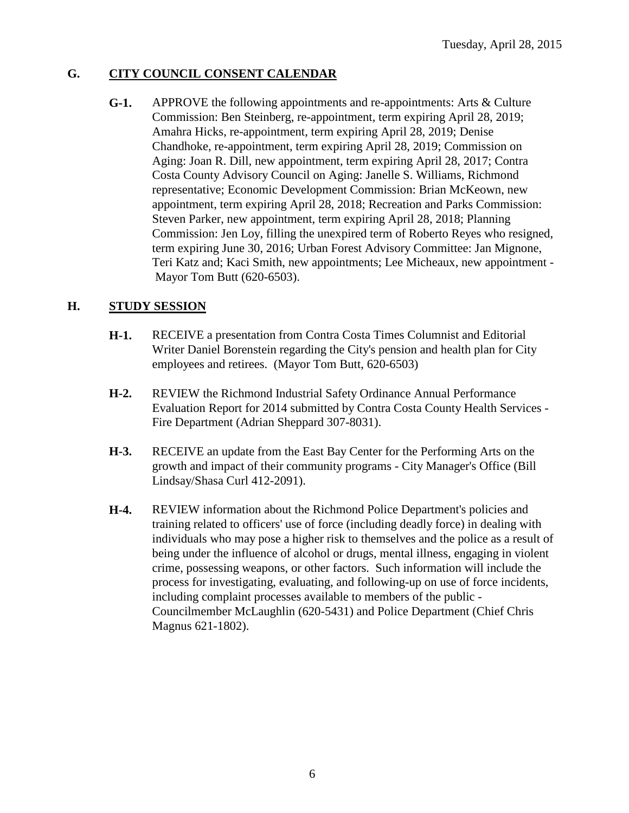#### **G. CITY COUNCIL CONSENT CALENDAR**

**G-1.** APPROVE the following appointments and re-appointments: Arts & Culture Commission: Ben Steinberg, re-appointment, term expiring April 28, 2019; Amahra Hicks, re-appointment, term expiring April 28, 2019; Denise Chandhoke, re-appointment, term expiring April 28, 2019; Commission on Aging: Joan R. Dill, new appointment, term expiring April 28, 2017; Contra Costa County Advisory Council on Aging: Janelle S. Williams, Richmond representative; Economic Development Commission: Brian McKeown, new appointment, term expiring April 28, 2018; Recreation and Parks Commission: Steven Parker, new appointment, term expiring April 28, 2018; Planning Commission: Jen Loy, filling the unexpired term of Roberto Reyes who resigned, term expiring June 30, 2016; Urban Forest Advisory Committee: Jan Mignone, Teri Katz and; Kaci Smith, new appointments; Lee Micheaux, new appointment - Mayor Tom Butt (620-6503).

#### **H. STUDY SESSION**

- **H-1.** RECEIVE a presentation from Contra Costa Times Columnist and Editorial Writer Daniel Borenstein regarding the City's pension and health plan for City employees and retirees. (Mayor Tom Butt, 620-6503)
- **H-2.** REVIEW the Richmond Industrial Safety Ordinance Annual Performance Evaluation Report for 2014 submitted by Contra Costa County Health Services - Fire Department (Adrian Sheppard 307-8031).
- **H-3.** RECEIVE an update from the East Bay Center for the Performing Arts on the growth and impact of their community programs - City Manager's Office (Bill Lindsay/Shasa Curl 412-2091).
- **H-4.** REVIEW information about the Richmond Police Department's policies and training related to officers' use of force (including deadly force) in dealing with individuals who may pose a higher risk to themselves and the police as a result of being under the influence of alcohol or drugs, mental illness, engaging in violent crime, possessing weapons, or other factors. Such information will include the process for investigating, evaluating, and following-up on use of force incidents, including complaint processes available to members of the public - Councilmember McLaughlin (620-5431) and Police Department (Chief Chris Magnus 621-1802).